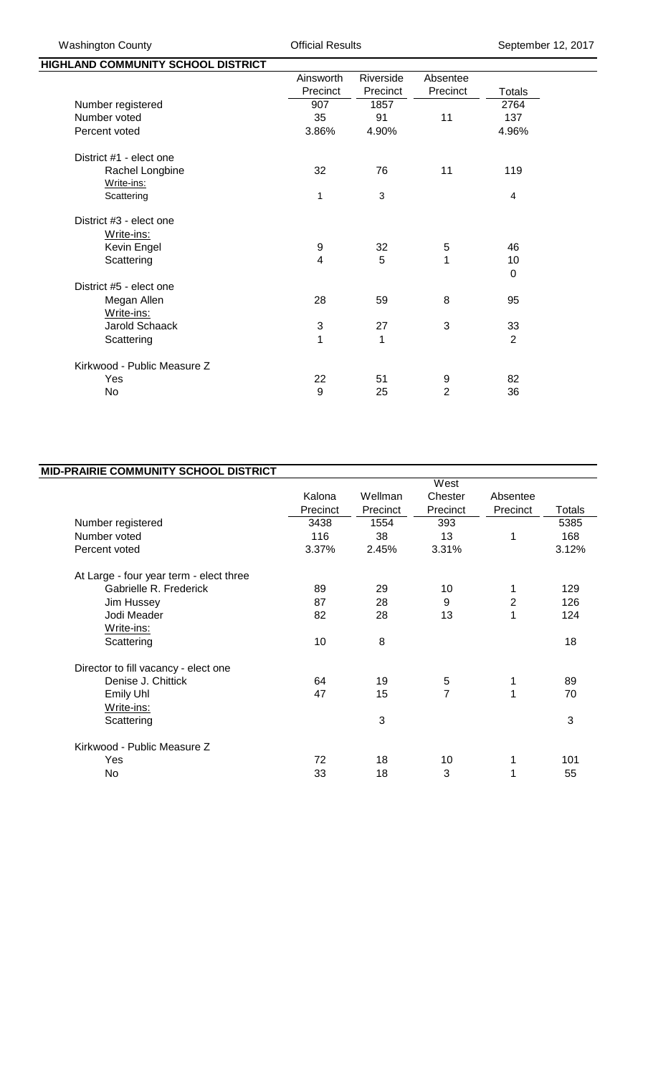| HIGHLAND COMMUNITY SCHOOL DISTRICT |            |           |                |                |
|------------------------------------|------------|-----------|----------------|----------------|
|                                    | Ainsworth  | Riverside | Absentee       |                |
|                                    | Precinct   | Precinct  | Precinct       | Totals         |
| Number registered                  | 907        | 1857      |                | 2764           |
| Number voted                       | 35         | 91        | 11             | 137            |
| Percent voted                      | 3.86%      | 4.90%     |                | 4.96%          |
| District #1 - elect one            |            |           |                |                |
| Rachel Longbine                    | 32         | 76        | 11             | 119            |
| Write-ins:                         |            |           |                |                |
| Scattering                         | 1          | 3         |                | 4              |
| District #3 - elect one            |            |           |                |                |
| Write-ins:                         |            |           |                |                |
| Kevin Engel                        | 9          | 32        | 5              | 46             |
| Scattering                         | 4          | 5         | 1              | 10             |
|                                    |            |           |                | 0              |
| District #5 - elect one            |            |           |                |                |
| Megan Allen                        | 28         | 59        | 8              | 95             |
| Write-ins:                         |            |           |                |                |
| <b>Jarold Schaack</b>              | $\sqrt{3}$ | 27        | 3              | 33             |
| Scattering                         | 1          | 1         |                | $\overline{2}$ |
| Kirkwood - Public Measure Z        |            |           |                |                |
| Yes                                | 22         | 51        | 9              | 82             |
| <b>No</b>                          | 9          | 25        | $\overline{2}$ | 36             |
|                                    |            |           |                |                |

| <b>MID-PRAIRIE COMMUNITY SCHOOL DISTRICT</b> |          |          |          |              |               |  |
|----------------------------------------------|----------|----------|----------|--------------|---------------|--|
|                                              | West     |          |          |              |               |  |
|                                              | Kalona   | Wellman  | Chester  | Absentee     |               |  |
|                                              | Precinct | Precinct | Precinct | Precinct     | <b>Totals</b> |  |
| Number registered                            | 3438     | 1554     | 393      |              | 5385          |  |
| Number voted                                 | 116      | 38       | 13       | 1            | 168           |  |
| Percent voted                                | 3.37%    | 2.45%    | 3.31%    |              | 3.12%         |  |
| At Large - four year term - elect three      |          |          |          |              |               |  |
| Gabrielle R. Frederick                       | 89       | 29       | 10       |              | 129           |  |
| Jim Hussey                                   | 87       | 28       | 9        | $\mathbf{2}$ | 126           |  |
| Jodi Meader                                  | 82       | 28       | 13       | 1            | 124           |  |
| Write-ins:                                   |          |          |          |              |               |  |
| Scattering                                   | 10       | 8        |          |              | 18            |  |
| Director to fill vacancy - elect one         |          |          |          |              |               |  |
| Denise J. Chittick                           | 64       | 19       | 5        | 1            | 89            |  |
| Emily Uhl                                    | 47       | 15       | 7        | 1            | 70            |  |
| Write-ins:                                   |          |          |          |              |               |  |
| Scattering                                   |          | 3        |          |              | 3             |  |
| Kirkwood - Public Measure Z                  |          |          |          |              |               |  |
| Yes                                          | 72       | 18       | 10       | 1            | 101           |  |
| No.                                          | 33       | 18       | 3        | 1            | 55            |  |